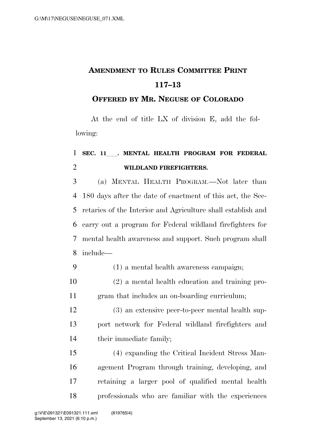## **AMENDMENT TO RULES COMMITTEE PRINT 117–13**

## **OFFERED BY MR. NEGUSE OF COLORADO**

At the end of title LX of division E, add the following:

## **SEC. 11**ll**. MENTAL HEALTH PROGRAM FOR FEDERAL WILDLAND FIREFIGHTERS.**

 (a) MENTAL HEALTH PROGRAM.—Not later than 180 days after the date of enactment of this act, the Sec- retaries of the Interior and Agriculture shall establish and carry out a program for Federal wildland firefighters for mental health awareness and support. Such program shall include—

- (1) a mental health awareness campaign;
- (2) a mental health education and training pro-gram that includes an on-boarding curriculum;
- (3) an extensive peer-to-peer mental health sup- port network for Federal wildland firefighters and their immediate family;

 (4) expanding the Critical Incident Stress Man- agement Program through training, developing, and retaining a larger pool of qualified mental health professionals who are familiar with the experiences